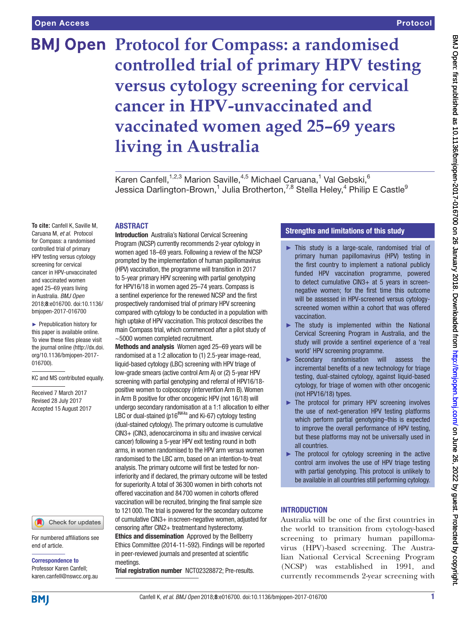# **BMJ Open Protocol for Compass: a randomised controlled trial of primary HPV testing versus cytology screening for cervical cancer in HPV-unvaccinated and vaccinated women aged 25–69 years living in Australia**

Karen Canfell,<sup>1,2,3</sup> Marion Saville,<sup>4,5</sup> Michael Caruana,<sup>1</sup> Val Gebski, 6 Jessica Darlington-Brown, $^1$  Julia Brotherton, $^{7,8}$  Stella Heley, $^4$  Philip E Castle $^9$ 

#### **ABSTRACT**

**To cite:** Canfell K, Saville M, Caruana M, *et al*. Protocol for Compass: a randomised controlled trial of primary HPV testing versus cytology screening for cervical cancer in HPV-unvaccinated and vaccinated women aged 25–69 years living in Australia. *BMJ Open* 2018;8:e016700. doi:10.1136/ bmjopen-2017-016700

► Prepublication history for this paper is available online. To view these files please visit the journal online [\(http://dx.doi.](http://dx.doi.org/10.1136/bmjopen-2017-016700) [org/10.1136/bmjopen-2017-](http://dx.doi.org/10.1136/bmjopen-2017-016700) [016700\)](http://dx.doi.org/10.1136/bmjopen-2017-016700).

KC and MS contributed equally.

Received 7 March 2017 Revised 28 July 2017 Accepted 15 August 2017

#### Check for updates

For numbered affiliations see end of article.

Correspondence to Professor Karen Canfell; karen.canfell@nswcc.org.au **Introduction** Australia's National Cervical Screening Program (NCSP) currently recommends 2-year cytology in women aged 18–69 years. Following a review of the NCSP prompted by the implementation of human papillomavirus (HPV) vaccination, the programme will transition in 2017 to 5-year primary HPV screening with partial genotyping for HPV16/18 in women aged 25–74 years. Compass is a sentinel experience for the renewed NCSP and the first prospectively randomised trial of primary HPV screening compared with cytology to be conducted in a population with high uptake of HPV vaccination. This protocol describes the main Compass trial, which commenced after a pilot study of ~5000 women completed recruitment.

Methods and analysis Women aged 25–69 years will be randomised at a 1:2 allocation to (1) 2.5-year image-read, liquid-based cytology (LBC) screening with HPV triage of low-grade smears (active control Arm A) or (2) 5-year HPV screening with partial genotyping and referral of HPV16/18 positive women to colposcopy (intervention Arm B). Women in Arm B positive for other oncogenic HPV (not 16/18) will undergo secondary randomisation at a 1:1 allocation to either LBC or dual-stained (p16<sup>INK4a</sup> and Ki-67) cytology testing (dual-stained cytology). The primary outcome is cumulative CIN3+ (CIN3, adenocarcinoma in situ and invasive cervical cancer) following a 5-year HPV exit testing round in both arms, in women randomised to the HPV arm versus women randomised to the LBC arm, based on an intention-to-treat analysis. The primary outcome will first be tested for noninferiority and if declared, the primary outcome will be tested for superiority. A total of 36300 women in birth cohorts not offered vaccination and 84700 women in cohorts offered vaccination will be recruited, bringing the final sample size to 121000. The trial is powered for the secondary outcome of cumulative CIN3+ inscreen-negative women, adjusted for censoring after CIN2+ treatmentand hysterectomy. Ethics and dissemination Approved by the Bellberry Ethics Committee (2014-11-592). Findings will be reported in peer-reviewed journals and presented at scientific meetings.

Trial registration number <NCT02328872>; Pre-results.

# Strengths and limitations of this study

- ► This study is a large-scale, randomised trial of primary human papillomavirus (HPV) testing in the first country to implement a national publicly funded HPV vaccination programme, powered to detect cumulative CIN3+ at 5 years in screennegative women; for the first time this outcome will be assessed in HPV-screened versus cytologyscreened women within a cohort that was offered vaccination.
- $\blacktriangleright$  The study is implemented within the National Cervical Screening Program in Australia, and the study will provide a sentinel experience of a 'real world' HPV screening programme.
- ► Secondary randomisation will assess the incremental benefits of a new technology for triage testing, dual-stained cytology, against liquid-based cytology, for triage of women with other oncogenic (not HPV16/18) types.
- ► The protocol for primary HPV screening involves the use of next-generation HPV testing platforms which perform partial genotyping–this is expected to improve the overall performance of HPV testing, but these platforms may not be universally used in all countries.
- ► The protocol for cytology screening in the active control arm involves the use of HPV triage testing with partial genotyping. This protocol is unlikely to be available in all countries still performing cytology.

# **INTRODUCTION**

Australia will be one of the first countries in the world to transition from cytology-based screening to primary human papillomavirus (HPV)-based screening. The Australian National Cervical Screening Program (NCSP) was established in 1991, and currently recommends 2-year screening with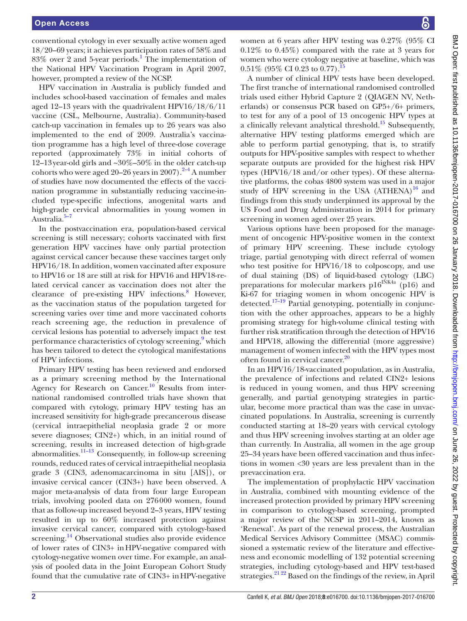conventional cytology in ever sexually active women aged 18/20–69 years; it achieves participation rates of 58% and 83% over 2 and 5-year periods.<sup>[1](#page-11-0)</sup> The implementation of the National HPV Vaccination Program in April 2007, however, prompted a review of the NCSP.

HPV vaccination in Australia is publicly funded and includes school-based vaccination of females and males aged 12–13 years with the quadrivalent HPV16/18/6/11 vaccine (CSL, Melbourne, Australia). Community-based catch-up vaccination in females up to 26 years was also implemented to the end of 2009. Australia's vaccination programme has a high level of three-dose coverage reported (approximately 73% in initial cohorts of 12–13year-old girls and ~30%–50% in the older catch-up cohorts who were aged  $20-26$  years in  $2007$ ).<sup>[2–4](#page-11-1)</sup> A number of studies have now documented the effects of the vaccination programme in substantially reducing vaccine-included type-specific infections, anogenital warts and high-grade cervical abnormalities in young women in Australia.<sup>5-7</sup>

In the postvaccination era, population-based cervical screening is still necessary; cohorts vaccinated with first generation HPV vaccines have only partial protection against cervical cancer because these vaccines target only HPV16/18. In addition, women vaccinated after exposure to HPV16 or 18 are still at risk for HPV16 and HPV18-related cervical cancer as vaccination does not alter the clearance of pre-existing HPV infections.<sup>8</sup> However, as the vaccination status of the population targeted for screening varies over time and more vaccinated cohorts reach screening age, the reduction in prevalence of cervical lesions has potential to adversely impact the test performance characteristics of cytology screening,<sup>[9](#page-11-4)</sup> which has been tailored to detect the cytological manifestations of HPV infections.

Primary HPV testing has been reviewed and endorsed as a primary screening method by the International Agency for Research on Cancer.<sup>[10](#page-11-5)</sup> Results from international randomised controlled trials have shown that compared with cytology, primary HPV testing has an increased sensitivity for high-grade precancerous disease (cervical intraepithelial neoplasia grade 2 or more severe diagnoses; CIN2+) which, in an initial round of screening, results in increased detection of high-grade abnormalities.<sup>11-13</sup> Consequently, in follow-up screening rounds, reduced rates of cervical intraepithelial neoplasia grade 3 (CIN3, adenomacarcinoma in situ [AIS]), or invasive cervical cancer (CIN3+) have been observed. A major meta-analysis of data from four large European trials, involving pooled data on 276000 women, found that as follow-up increased beyond 2–3 years, HPV testing resulted in up to 60% increased protection against invasive cervical cancer, compared with cytology-based screening.<sup>14</sup> Observational studies also provide evidence of lower rates of CIN3+ inHPV-negative compared with cytology-negative women over time. For example, an analysis of pooled data in the Joint European Cohort Study found that the cumulative rate of CIN3+ inHPV-negative

women at 6 years after HPV testing was 0.27% (95% CI 0.12% to 0.45%) compared with the rate at 3 years for women who were cytology negative at baseline, which was  $0.51\%$  (95% CI 0.23 to 0.77).<sup>15</sup>

A number of clinical HPV tests have been developed. The first tranche of international randomised controlled trials used either Hybrid Capture 2 (QIAGEN NV, Netherlands) or consensus PCR based on GP5+/6+ primers, to test for any of a pool of 13 oncogenic HPV types at a clinically relevant analytical threshold.<sup>15</sup> Subsequently, alternative HPV testing platforms emerged which are able to perform partial genotyping, that is, to stratify outputs for HPV-positive samples with respect to whether separate outputs are provided for the highest risk HPV types (HPV16/18 and/or other types). Of these alternative platforms, the cobas 4800 system was used in a major study of HPV screening in the USA  $(ATHENA)^{16}$  $(ATHENA)^{16}$  $(ATHENA)^{16}$  and findings from this study underpinned its approval by the US Food and Drug Administration in 2014 for primary screening in women aged over 25 years.

Various options have been proposed for the management of oncogenic HPV-positive women in the context of primary HPV screening. These include cytology triage, partial genotyping with direct referral of women who test positive for HPV16/18 to colposcopy, and use of dual staining (DS) of liquid-based cytology (LBC) preparations for molecular markers  $p16^{INKA}$  (p16) and Ki-67 for triaging women in whom oncogenic HPV is detected[.17–19](#page-11-10) Partial genotyping, potentially in conjunction with the other approaches, appears to be a highly promising strategy for high-volume clinical testing with further risk stratification through the detection of HPV16 and HPV18, allowing the differential (more aggressive) management of women infected with the HPV types most often found in cervical cancer.<sup>20</sup>

In an HPV16/18-vaccinated population, as in Australia, the prevalence of infections and related CIN2+ lesions is reduced in young women, and thus HPV screening generally, and partial genotyping strategies in particular, become more practical than was the case in unvaccinated populations. In Australia, screening is currently conducted starting at 18–20 years with cervical cytology and thus HPV screening involves starting at an older age than currently. In Australia, all women in the age group 25–34 years have been offered vaccination and thus infections in women <30 years are less prevalent than in the prevaccination era.

The implementation of prophylactic HPV vaccination in Australia, combined with mounting evidence of the increased protection provided by primary HPV screening in comparison to cytology-based screening, prompted a major review of the NCSP in 2011–2014, known as 'Renewal'. As part of the renewal process, the Australian Medical Services Advisory Committee (MSAC) commissioned a systematic review of the literature and effectiveness and economic modelling of 132 potential screening strategies, including cytology-based and HPV test-based strategies.<sup>[21 22](#page-12-0)</sup> Based on the findings of the review, in April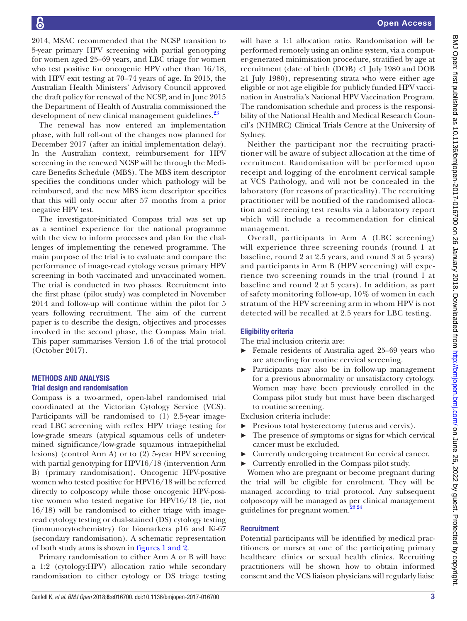2014, MSAC recommended that the NCSP transition to 5-year primary HPV screening with partial genotyping for women aged 25–69 years, and LBC triage for women who test positive for oncogenic HPV other than 16/18, with HPV exit testing at 70–74 years of age. In 2015, the Australian Health Ministers' Advisory Council approved the draft policy for renewal of the NCSP, and in June 2015 the Department of Health of Australia commissioned the development of new clinical management guidelines.<sup>23</sup>

The renewal has now entered an implementation phase, with full roll-out of the changes now planned for December 2017 (after an initial implementation delay). In the Australian context, reimbursement for HPV screening in the renewed NCSP will be through the Medicare Benefits Schedule (MBS). The MBS item descriptor specifies the conditions under which pathology will be reimbursed, and the new MBS item descriptor specifies that this will only occur after 57 months from a prior negative HPV test.

The investigator-initiated Compass trial was set up as a sentinel experience for the national programme with the view to inform processes and plan for the challenges of implementing the renewed programme. The main purpose of the trial is to evaluate and compare the performance of image-read cytology versus primary HPV screening in both vaccinated and unvaccinated women. The trial is conducted in two phases. Recruitment into the first phase (pilot study) was completed in November 2014 and follow-up will continue within the pilot for 5 years following recruitment. The aim of the current paper is to describe the design, objectives and processes involved in the second phase, the Compass Main trial. This paper summarises Version 1.6 of the trial protocol (October 2017).

# Methods and analysis Trial design and randomisation

Compass is a two-armed, open-label randomised trial coordinated at the Victorian Cytology Service (VCS). Participants will be randomised to (1) 2.5-year imageread LBC screening with reflex HPV triage testing for low-grade smears (atypical squamous cells of undetermined significance/low-grade squamous intraepithelial lesions) (control Arm A) or to (2) 5-year HPV screening with partial genotyping for HPV16/18 (intervention Arm B) (primary randomisation). Oncogenic HPV-positive women who tested positive for HPV16/18 will be referred directly to colposcopy while those oncogenic HPV-positive women who tested negative for HPV16/18 (ie, not 16/18) will be randomised to either triage with imageread cytology testing or dual-stained (DS) cytology testing (immunocytochemistry) for biomarkers p16 and Ki-67 (secondary randomisation). A schematic representation of both study arms is shown in figures [1 and 2.](#page-3-0)

Primary randomisation to either Arm A or B will have a 1:2 (cytology:HPV) allocation ratio while secondary randomisation to either cytology or DS triage testing

will have a 1:1 allocation ratio. Randomisation will be performed remotely using an online system, via a computer-generated minimisation procedure, stratified by age at recruitment (date of birth (DOB) <1 July 1980 and DOB ≥1 July 1980), representing strata who were either age eligible or not age eligible for publicly funded HPV vaccination in Australia's National HPV Vaccination Program. The randomisation schedule and process is the responsibility of the National Health and Medical Research Council's (NHMRC) Clinical Trials Centre at the University of Sydney.

Neither the participant nor the recruiting practitioner will be aware of subject allocation at the time of recruitment. Randomisation will be performed upon receipt and logging of the enrolment cervical sample at VCS Pathology, and will not be concealed in the laboratory (for reasons of practicality). The recruiting practitioner will be notified of the randomised allocation and screening test results via a laboratory report which will include a recommendation for clinical management.

Overall, participants in Arm A (LBC screening) will experience three screening rounds (round 1 at baseline, round 2 at 2.5 years, and round 3 at 5 years) and participants in Arm B (HPV screening) will experience two screening rounds in the trial (round 1 at baseline and round 2 at 5 years). In addition, as part of safety monitoring follow-up, 10% of women in each stratum of the HPV screening arm in whom HPV is not detected will be recalled at 2.5 years for LBC testing.

# Eligibility criteria

The trial inclusion criteria are:

- ► Female residents of Australia aged 25–69 years who are attending for routine cervical screening.
- ► Participants may also be in follow-up management for a previous abnormality or unsatisfactory cytology. Women may have been previously enrolled in the Compass pilot study but must have been discharged to routine screening.

Exclusion criteria include:

- Previous total hysterectomy (uterus and cervix).
- ► The presence of symptoms or signs for which cervical cancer must be excluded.
- ► Currently undergoing treatment for cervical cancer.
- ► Currently enrolled in the Compass pilot study.

Women who are pregnant or become pregnant during the trial will be eligible for enrolment. They will be managed according to trial protocol. Any subsequent colposcopy will be managed as per clinical management guidelines for pregnant women.<sup>23 24</sup>

# **Recruitment**

Potential participants will be identified by medical practitioners or nurses at one of the participating primary healthcare clinics or sexual health clinics. Recruiting practitioners will be shown how to obtain informed consent and the VCS liaison physicians will regularly liaise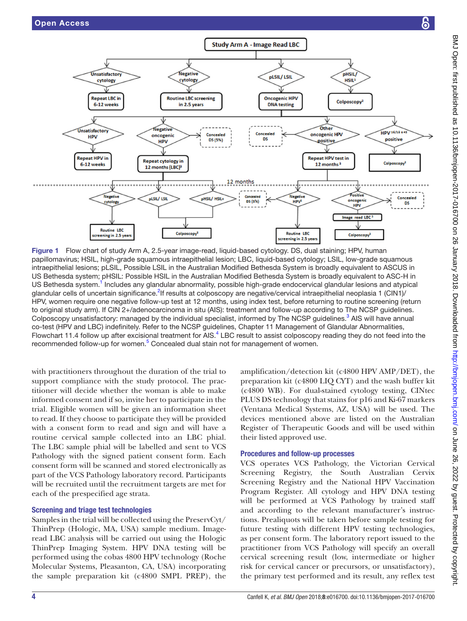

<span id="page-3-0"></span>Figure 1 Flow chart of study Arm A, 2.5-year image-read, liquid-based cytology. DS, dual staining; HPV, human papillomavirus; HSIL, high-grade squamous intraepithelial lesion; LBC, liquid-based cytology; LSIL, low-grade squamous intraepithelial lesions; pLSIL, Possible LSIL in the Australian Modified Bethesda System is broadly equivalent to ASCUS in US Bethesda system; pHSIL: Possible HSIL in the Australian Modified Bethesda System is broadly equivalent to ASC-H in US Bethesda system.<sup>[1](#page-11-0)</sup> Includes any glandular abnormality, possible high-grade endocervical glandular lesions and atypical glandular cells of uncertain significance.<sup>[2](#page-11-1)</sup>If results at colposcopy are negative/cervical intraepithelial neoplasia 1 (CIN1)/ HPV, women require one negative follow-up test at 12 months, using index test, before returning to routine screening (return to original study arm). If CIN 2+/adenocarcinoma in situ (AIS): treatment and follow-up according to The NCSP guidelines. Colposcopy unsatisfactory: managed by the individual specialist, informed by The NCSP guidelines.<sup>3</sup> AIS will have annual co-test (HPV and LBC) indefinitely. Refer to the NCSP guidelines, Chapter 11 Management of Glandular Abnormalities, Flowchart 11.[4](#page-11-13) follow up after excisional treatment for AIS.<sup>4</sup> LBC result to assist colposcopy reading they do not feed into the recommended follow-up for women.<sup>[5](#page-11-2)</sup> Concealed dual stain not for management of women.

with practitioners throughout the duration of the trial to support compliance with the study protocol. The practitioner will decide whether the woman is able to make informed consent and if so, invite her to participate in the trial. Eligible women will be given an information sheet to read. If they choose to participate they will be provided with a consent form to read and sign and will have a routine cervical sample collected into an LBC phial. The LBC sample phial will be labelled and sent to VCS Pathology with the signed patient consent form. Each consent form will be scanned and stored electronically as part of the VCS Pathology laboratory record. Participants will be recruited until the recruitment targets are met for each of the prespecified age strata.

#### Screening and triage test technologies

Samples in the trial will be collected using the PreservCyt/ ThinPrep (Hologic, MA, USA) sample medium. Imageread LBC analysis will be carried out using the Hologic ThinPrep Imaging System. HPV DNA testing will be performed using the cobas 4800 HPV technology (Roche Molecular Systems, Pleasanton, CA, USA) incorporating the sample preparation kit (c4800 SMPL PREP), the

amplification/detection kit (c4800 HPV AMP/DET), the preparation kit (c4800 LIQ CYT) and the wash buffer kit (c4800 WB). For dual-stained cytology testing, CINtec PLUS DS technology that stains for p16 and Ki-67 markers (Ventana Medical Systems, AZ, USA) will be used. The devices mentioned above are listed on the Australian Register of Therapeutic Goods and will be used within their listed approved use.

#### Procedures and follow-up processes

VCS operates VCS Pathology, the Victorian Cervical Screening Registry, the South Australian Cervix Screening Registry and the National HPV Vaccination Program Register. All cytology and HPV DNA testing will be performed at VCS Pathology by trained staff and according to the relevant manufacturer's instructions. Prealiquots will be taken before sample testing for future testing with different HPV testing technologies, as per consent form. The laboratory report issued to the practitioner from VCS Pathology will specify an overall cervical screening result (low, intermediate or higher risk for cervical cancer or precursors, or unsatisfactory), the primary test performed and its result, any reflex test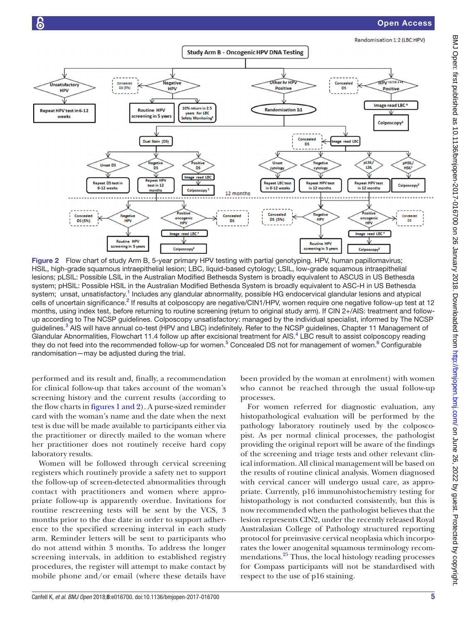Open Access



Figure 2 Flow chart of study Arm B, 5-year primary HPV testing with partial genotyping. HPV, human papillomavirus; HSIL, high-grade squamous intraepithelial lesion; LBC, liquid-based cytology; LSIL, low-grade squamous intraepithelial lesions; pLSIL: Possible LSIL in the Australian Modified Bethesda System is broadly equivalent to ASCUS in US Bethesda system; pHSIL: Possible HSIL in the Australian Modified Bethesda System is broadly equivalent to ASC-H in US Bethesda system; unsat, unsatisfactory.<sup>1</sup> Includes any glandular abnormality, possible HG endocervical glandular lesions and atypical cells of uncertain significance.<sup>[2](#page-11-1)</sup> If results at colposcopy are negative/CIN1/HPV, women require one negative follow-up test at 12 months, using index test, before returning to routine screening (return to original study arm). If CIN 2+/AIS: treatment and followup according to The NCSP guidelines. Colposcopy unsatisfactory: managed by the individual specialist, informed by The NCSP guidelines.<sup>[3](#page-11-12)</sup> AIS will have annual co-test (HPV and LBC) indefinitely. Refer to the NCSP guidelines, Chapter 11 Management of Glandular Abnormalities, Flowchart 11.[4](#page-11-13) follow up after excisional treatment for AIS.<sup>4</sup> LBC result to assist colposcopy reading they do not feed into the recommended follow-up for women.<sup>[5](#page-11-2)</sup> Concealed DS not for management of women.<sup>[6](#page-11-14)</sup> Configurable randomisation—may be adjusted during the trial.

performed and its result and, finally, a recommendation for clinical follow-up that takes account of the woman's screening history and the current results (according to the flow charts in figures [1 and 2](#page-3-0)). A purse-sized reminder card with the woman's name and the date when the next test is due will be made available to participants either via the practitioner or directly mailed to the woman where her practitioner does not routinely receive hard copy laboratory results.

Women will be followed through cervical screening registers which routinely provide a safety net to support the follow-up of screen-detected abnormalities through contact with practitioners and women where appropriate follow-up is apparently overdue. Invitations for routine rescreening tests will be sent by the VCS, 3 months prior to the due date in order to support adherence to the specified screening interval in each study arm. Reminder letters will be sent to participants who do not attend within 3 months. To address the longer screening intervals, in addition to established registry procedures, the register will attempt to make contact by mobile phone and/or email (where these details have

been provided by the woman at enrolment) with women who cannot be reached through the usual follow-up processes.

For women referred for diagnostic evaluation, any histopathological evaluation will be performed by the pathology laboratory routinely used by the colposcopist. As per normal clinical processes, the pathologist providing the original report will be aware of the findings of the screening and triage tests and other relevant clinical information. All clinical management will be based on the results of routine clinical analysis. Women diagnosed with cervical cancer will undergo usual care, as appropriate. Currently, p16 immunohistochemistry testing for histopathology is not conducted consistently, but this is now recommended when the pathologist believes that the lesion represents CIN2, under the recently released Royal Australasian College of Pathology structured reporting protocol for preinvasive cervical neoplasia which incorporates the lower anogenital squamous terminology recommendations.<sup>25</sup> Thus, the local histology reading processes for Compass participants will not be standardised with respect to the use of p16 staining.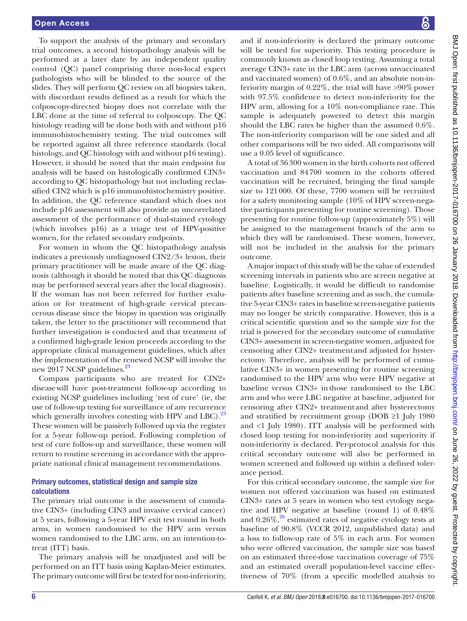To support the analysis of the primary and secondary trial outcomes, a second histopathology analysis will be performed at a later date by an independent quality control (QC) panel comprising three non-local expert pathologists who will be blinded to the source of the slides. They will perform QC review on all biopsies taken, with discordant results defined as a result for which the colposcopy-directed biopsy does not correlate with the LBC done at the time of referral to colposcopy. The QC histology reading will be done both with and without p16 immunohistochemistry testing. The trial outcomes will be reported against all three reference standards (local histology, and QC histology with and without p16 testing). However, it should be noted that the main endpoint for analysis will be based on histologically confirmed CIN3+ according to OC histopathology but not including reclassified CIN2 which is p16 immunohistochemistry positive. In addition, the QC reference standard which does not include p16 assessment will also provide an uncorrelated assessment of the performance of dual-stained cytology (which involves p16) as a triage test of HPV-positive women, for the related secondary endpoints.

For women in whom the QC histopathology analysis indicates a previously undiagnosed CIN2/3+ lesion, their primary practitioner will be made aware of the QC diagnosis (although it should be noted that this QC diagnosis may be performed several years after the local diagnosis). If the woman has not been referred for further evaluation or for treatment of high-grade cervical precancerous disease since the biopsy in question was originally taken, the letter to the practitioner will recommend that further investigation is conducted and that treatment of a confirmed high-grade lesion proceeds according to the appropriate clinical management guidelines, which after the implementation of the renewed NCSP will involve the new 2017 NCSP guidelines.<sup>23</sup>

Compass participants who are treated for CIN2+ diseasewill have post-treatment follow-up according to existing NCSP guidelines including 'test of cure' (ie, the use of follow-up testing for surveillance of any recurrence which generally involves cotesting with HPV and LBC). $^{23}$ These women will be passively followed up via the register for a 5-year follow-up period. Following completion of test of cure follow-up and surveillance, these women will return to routine screening in accordance with the appropriate national clinical management recommendations.

#### Primary outcomes, statistical design and sample size calculations

The primary trial outcome is the assessment of cumulative CIN3+ (including CIN3 and invasive cervical cancer) at 5 years, following a 5-year HPV exit test round in both arms, in women randomised to the HPV arm versus women randomised to the LBC arm, on an intention-totreat (ITT) basis.

The primary analysis will be unadjusted and will be performed on an ITT basis using Kaplan-Meier estimates. The primary outcome will first be tested for non-inferiority,

and if non-inferiority is declared the primary outcome will be tested for superiority. This testing procedure is commonly known as closed loop testing. Assuming a total average CIN3+ rate in the LBC arm (across unvaccinated and vaccinated women) of 0.6%, and an absolute non-inferiority margin of  $0.22\%$ , the trial will have >90% power with 97.5% confidence to detect non-inferiority for the HPV arm, allowing for a 10% non-compliance rate. This sample is adequately powered to detect this margin should the LBC rates be higher than the assumed 0.6%. The non-inferiority comparison will be one sided and all other comparisons will be two sided. All comparisons will use a 0.05 level of significance.

A total of 36300 women in the birth cohorts not offered vaccination and 84700 women in the cohorts offered vaccination will be recruited, bringing the final sample size to 121000. Of these, 7700 women will be recruited for a safety monitoring sample (10% of HPV screen-negative participants presenting for routine screening). Those presenting for routine follow-up (approximately 5%) will be assigned to the management branch of the arm to which they will be randomised. These women, however, will not be included in the analysis for the primary outcome.

A major impact of this study will be the value of extended screening intervals in patients who are screen negative at baseline. Logistically, it would be difficult to randomise patients after baseline screening and as such, the cumulative 5-year CIN3+ rates in baseline screen-negative patients may no longer be strictly comparative. However, this is a critical scientific question and so the sample size for the trial is powered for the secondary outcome of cumulative CIN3+ assessment in screen-negative women, adjusted for censoring after CIN2+ treatment and adjusted for hysterectomy. Therefore, analysis will be performed of cumulative CIN3+ in women presenting for routine screening randomised to the HPV arm who were HPV negative at baseline versus CIN3+ inthose randomised to the LBC arm and who were LBC negative at baseline, adjusted for censoring after CIN2+ treatment and after hysterectomy and stratified by recruitment group (DOB  $\geq 1$  July 1980 and <1 July 1980). ITT analysis will be performed with closed loop testing for non-inferiority and superiority if non-inferiority is declared. Per-protocol analysis for this critical secondary outcome will also be performed in women screened and followed up within a defined tolerance period.

For this critical secondary outcome, the sample size for women not offered vaccination was based on estimated CIN3+ rates at 5 years in women who test cytology negative and HPV negative at baseline (round 1) of 0.48% and  $0.26\%$ ,  $26$  estimated rates of negative cytology tests at baseline of 90.8% (VCCR 2012, unpublished data) and a loss to follow-up rate of 5% in each arm. For women who were offered vaccination, the sample size was based on an estimated three-dose vaccination coverage of 75% and an estimated overall population-level vaccine effectiveness of 70% (from a specific modelled analysis to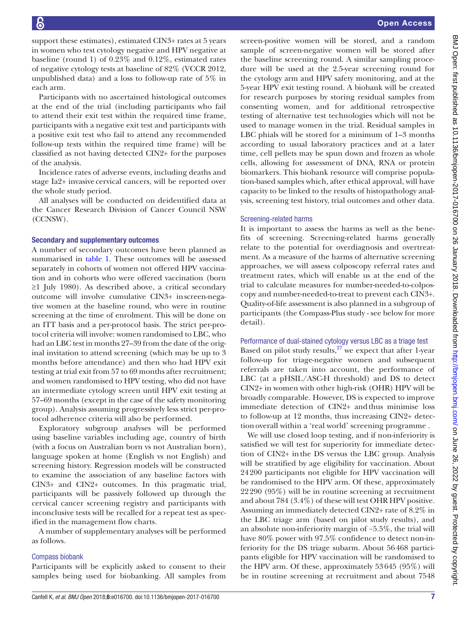support these estimates), estimated CIN3+ rates at 5 years in women who test cytology negative and HPV negative at baseline (round 1) of 0.23% and 0.12%, estimated rates of negative cytology tests at baseline of 82% (VCCR 2012, unpublished data) and a loss to follow-up rate of 5% in each arm.

Participants with no ascertained histological outcomes at the end of the trial (including participants who fail to attend their exit test within the required time frame, participants with a negative exit test and participants with a positive exit test who fail to attend any recommended follow-up tests within the required time frame) will be classified as not having detected CIN2+ for the purposes of the analysis.

Incidence rates of adverse events, including deaths and stage Ia2+ invasive cervical cancers, will be reported over the whole study period.

All analyses will be conducted on deidentified data at the Cancer Research Division of Cancer Council NSW (CCNSW).

#### Secondary and supplementary outcomes

A number of secondary outcomes have been planned as summarised in [table](#page-7-0) 1. These outcomes will be assessed separately in cohorts of women not offered HPV vaccination and in cohorts who were offered vaccination (born ≥1 July 1980). As described above, a critical secondary outcome will involve cumulative CIN3+ inscreen-negative women at the baseline round, who were in routine screening at the time of enrolment. This will be done on an ITT basis and a per-protocol basis. The strict per-protocol criteria will involve: women randomised to LBC, who had an LBC test in months 27–39 from the date of the original invitation to attend screening (which may be up to 3 months before attendance) and then who had HPV exit testing at trial exit from 57 to 69 months after recruitment; and women randomised to HPV testing, who did not have an intermediate cytology screen until HPV exit testing at 57–69 months (except in the case of the safety monitoring group). Analysis assuming progressively less strict per-protocol adherence criteria will also be performed.

Exploratory subgroup analyses will be performed using baseline variables including age, country of birth (with a focus on Australian born vs not Australian born), language spoken at home (English vs not English) and screening history. Regression models will be constructed to examine the association of any baseline factors with CIN3+ and CIN2+ outcomes. In this pragmatic trial, participants will be passively followed up through the cervical cancer screening registry and participants with inconclusive tests will be recalled for a repeat test as specified in the management flow charts.

A number of supplementary analyses will be performed as follows.

#### Compass biobank

Participants will be explicitly asked to consent to their samples being used for biobanking. All samples from

screen-positive women will be stored, and a random sample of screen-negative women will be stored after the baseline screening round. A similar sampling procedure will be used at the 2.5-year screening round for the cytology arm and HPV safety monitoring, and at the 5-year HPV exit testing round. A biobank will be created for research purposes by storing residual samples from consenting women, and for additional retrospective testing of alternative test technologies which will not be used to manage women in the trial. Residual samples in LBC phials will be stored for a minimum of 1–3 months according to usual laboratory practices and at a later time, cell pellets may be spun down and frozen as whole cells, allowing for assessment of DNA, RNA or protein biomarkers. This biobank resource will comprise population-based samples which, after ethical approval, will have capacity to be linked to the results of histopathology analysis, screening test history, trial outcomes and other data.

#### Screening-related harms

It is important to assess the harms as well as the benefits of screening. Screening-related harms generally relate to the potential for overdiagnosis and overtreatment. As a measure of the harms of alternative screening approaches, we will assess colposcopy referral rates and treatment rates, which will enable us at the end of the trial to calculate measures for number-needed-to-colposcopy and number-needed-to-treat to prevent each CIN3+. Quality-of-life assessment is also planned in a subgroup of participants (the Compass-Plus study - see below for more detail).

# Performance of dual-stained cytology versus LBC as a triage test

Based on pilot study results, $27$  we expect that after 1-year follow-up for triage-negative women and subsequent referrals are taken into account, the performance of LBC (at a pHSIL/ASC-H threshold) and DS to detect CIN2+ in women with other high-risk (OHR) HPV will be broadly comparable. However, DS is expected to improve immediate detection of CIN2+ andthus minimise loss to follow-up at 12 months, thus increasing CIN2+ detectionoverall within a 'real world' screening programme .

We will use closed loop testing, and if non-inferiority is satisfied we will test for superiority for immediate detection of CIN2+ inthe DS versus the LBC group. Analysis will be stratified by age eligibility for vaccination. About 24200 participants not eligible for HPV vaccination will be randomised to the HPV arm. Of these, approximately 22290 (95%) will be in routine screening at recruitment and about 784 (3.4%) of these will test OHR HPV positive. Assuming an immediately detected CIN2+ rate of 8.2% in the LBC triage arm (based on pilot study results), and an absolute non-inferiority margin of −5.5%, the trial will have 80% power with 97.5% confidence to detect non-inferiority for the DS triage subarm. About 56468 participants eligible for HPV vaccination will be randomised to the HPV arm. Of these, approximately 53645 (95%) will be in routine screening at recruitment and about 7548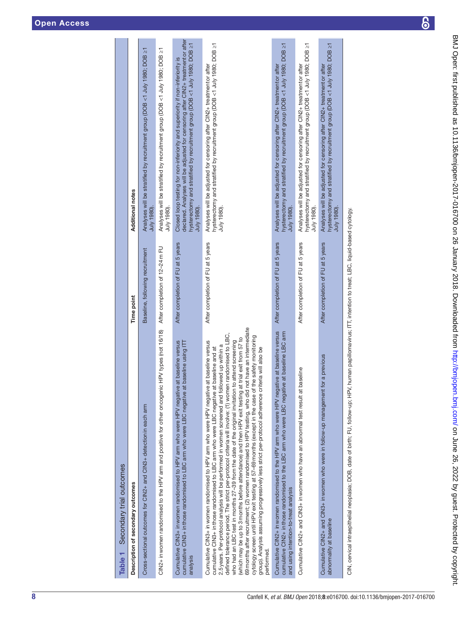| BDNJ Open: that promiss as 10.1114060H100en-2010-10-0200 on 26 Danaly 2010. DOWNDoaded to the state is that incomposed |
|------------------------------------------------------------------------------------------------------------------------|
|                                                                                                                        |
|                                                                                                                        |
|                                                                                                                        |
| 冫+ ,ドバト ト ヘ ム ) ヘ ヘ イ フ ヘ イ コ D ト ト ハ ハ フ フ ヘ ス フ ス フ フ フ フ フ フ フ l フ ハ : ハ フ フ イ 2   フ フ ハ ハ J フ コ イ ム フ ゙            |
|                                                                                                                        |
|                                                                                                                        |
|                                                                                                                        |
|                                                                                                                        |
|                                                                                                                        |
|                                                                                                                        |
|                                                                                                                        |
|                                                                                                                        |
|                                                                                                                        |
|                                                                                                                        |
|                                                                                                                        |
|                                                                                                                        |
|                                                                                                                        |
|                                                                                                                        |
|                                                                                                                        |
|                                                                                                                        |
|                                                                                                                        |
|                                                                                                                        |
|                                                                                                                        |
|                                                                                                                        |
|                                                                                                                        |
|                                                                                                                        |
|                                                                                                                        |
|                                                                                                                        |
|                                                                                                                        |
|                                                                                                                        |
|                                                                                                                        |
|                                                                                                                        |
|                                                                                                                        |
|                                                                                                                        |
|                                                                                                                        |
|                                                                                                                        |
|                                                                                                                        |
|                                                                                                                        |
|                                                                                                                        |
|                                                                                                                        |
|                                                                                                                        |
|                                                                                                                        |
|                                                                                                                        |
|                                                                                                                        |
|                                                                                                                        |
|                                                                                                                        |
|                                                                                                                        |
|                                                                                                                        |
| <b>ASSESSING</b><br>ASSESSED AND REAL PROPERTY.                                                                        |
|                                                                                                                        |
|                                                                                                                        |
|                                                                                                                        |
|                                                                                                                        |
|                                                                                                                        |
|                                                                                                                        |
|                                                                                                                        |
|                                                                                                                        |
|                                                                                                                        |
|                                                                                                                        |
|                                                                                                                        |

| Table 1 Secondary trial outcomes                                                                                                                                                                                                                                                                                                                                                                                                                                                                                                                                                                                                                                                                                                                                                                                                                                                                                                                 |                                   |                                                                                                                                                                                                                                                               |
|--------------------------------------------------------------------------------------------------------------------------------------------------------------------------------------------------------------------------------------------------------------------------------------------------------------------------------------------------------------------------------------------------------------------------------------------------------------------------------------------------------------------------------------------------------------------------------------------------------------------------------------------------------------------------------------------------------------------------------------------------------------------------------------------------------------------------------------------------------------------------------------------------------------------------------------------------|-----------------------------------|---------------------------------------------------------------------------------------------------------------------------------------------------------------------------------------------------------------------------------------------------------------|
| Description of secondary outcomes                                                                                                                                                                                                                                                                                                                                                                                                                                                                                                                                                                                                                                                                                                                                                                                                                                                                                                                | <b>Time point</b>                 | Additional notes                                                                                                                                                                                                                                              |
| Cross-sectional outcomes for CIN2+ and CIN3+ detection in each arm                                                                                                                                                                                                                                                                                                                                                                                                                                                                                                                                                                                                                                                                                                                                                                                                                                                                               | Baseline, following recruitment   | Analyses will be stratified by recruitment group (DOB <1 July 1980; DOB ≥1<br>July 1980).                                                                                                                                                                     |
| CIN2+ inwomen randomised to the HPV arm and positive for other oncogenic HPV types (not 16/18)                                                                                                                                                                                                                                                                                                                                                                                                                                                                                                                                                                                                                                                                                                                                                                                                                                                   | After completion of 12-24m FU     | Analyses will be stratified by recruitment group (DOB <1 July 1980; DOB ≥1<br>July 1980).                                                                                                                                                                     |
| baseline versus<br>cumulative CIN3+ in those randomised to LBC arm who were LBC negative at baseline using ITT<br>Cumulative CIN3+ inwomen randomised to HPV arm who were HPV negative at<br>analysis                                                                                                                                                                                                                                                                                                                                                                                                                                                                                                                                                                                                                                                                                                                                            | After completion of FU at 5 years | declared. Analyses will be adjusted for censoring after CIN2+ treatment or after<br>hysterectomy and stratified by recruitment group (DOB <1 July 1980; DOB ≥1<br>Closed loop testing for non-inferiority and superiority if non-inferiority is<br>July 1980) |
| have an intermediate<br>defined tolerance period. The strict per-protocol criteria will involve: (1) women randomised to LBC,<br>cytology screen until HPV exit testing at 57-69 months (except in the case of the safety monitoring<br>(which may be up to 3 months before attendance) and then HPV exit testing at trial exit from 57 to<br>who had an LBC test in months 27-39 from the date of the original invitation to attend screening<br>baseline versus<br>2.5 years. Per-protocol analysis will be performed in women screened and followed up within a<br>cumulative CIN3+ in those randomised to LBC arm who were LBC negative at baseline and at<br>a will also be<br>69 months after recruitment; (2) women randomised to HPV testing, who did not<br>group). Analysis assuming progressively less strict per-protocol adherence criteri<br>Cumulative CIN3+ inwomen randomised to HPV arm who were HPV negative at<br>performed. | After completion of FU at 5 years | hysterectomy and stratified by recruitment group (DOB <1 July 1980; DOB ≥1<br>Analyses will be adjusted for censoring after CIN2+ treatment or after<br>July 1980).                                                                                           |
| at baseline versus<br>cumulative CIN2+ in those randomised to the LBC arm who were LBC negative at baseline LBC arm<br>Cumulative CIN2+ in women randomised to the HPV arm who were HPV negative<br>and using intention-to-treat analysis                                                                                                                                                                                                                                                                                                                                                                                                                                                                                                                                                                                                                                                                                                        | After completion of FU at 5 years | hysterectomy and stratified by recruitment group (DOB <1 July 1980; DOB ≥1<br>Analyses will be adjusted for censoring after CIN2+ treatment or after<br>July 1980)                                                                                            |
| Cumulative CIN2+ and CIN3+ inwomen who have an abnormal test result at baseline                                                                                                                                                                                                                                                                                                                                                                                                                                                                                                                                                                                                                                                                                                                                                                                                                                                                  | After completion of FU at 5 years | hysterectomy and stratified by recruitment group (DOB <1 July 1980; DOB ≥1<br>Analyses will be adjusted for censoring after CIN2+ treatment or after<br>July 1980).                                                                                           |
| Cumulative CIN2+ and CIN3+ inwomen who were in follow-up management for a previous<br>abnormality at baseline                                                                                                                                                                                                                                                                                                                                                                                                                                                                                                                                                                                                                                                                                                                                                                                                                                    | After completion of FU at 5 years | hysterectomy and stratified by recruitment group (DOB <1 July 1980; DOB ≥1<br>Analyses will be adjusted for censoring after CIN2+ treatmentor after<br>$July$ 1980).                                                                                          |
| CIN cervical intraepithelial neoplasia: DOB_date_of birth: ELL follow-up: HPV_human_papillomavirus; ITT_intention to treat: LBC_liquid-based_cydopy                                                                                                                                                                                                                                                                                                                                                                                                                                                                                                                                                                                                                                                                                                                                                                                              |                                   |                                                                                                                                                                                                                                                               |

<span id="page-7-0"></span>CIN, cervical intraepithelial neoplasia; DOB, date of birth; FU, follow-up; HPV, human papillomavirus; ITT, intention to treat; LBC, liquid-based cytology. ኋ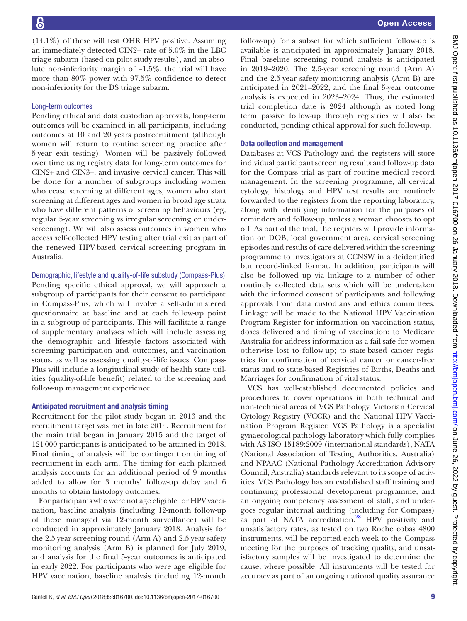$(14.1\%)$  of these will test OHR HPV positive. Assuming an immediately detected CIN2+ rate of 5.0% in the LBC triage subarm (based on pilot study results), and an absolute non-inferiority margin of −1.5%, the trial will have more than 80% power with 97.5% confidence to detect non-inferiority for the DS triage subarm.

# Long-term outcomes

Pending ethical and data custodian approvals, long-term outcomes will be examined in all participants, including outcomes at 10 and 20 years postrecruitment (although women will return to routine screening practice after 5-year exit testing). Women will be passively followed over time using registry data for long-term outcomes for CIN2+ and CIN3+, and invasive cervical cancer. This will be done for a number of subgroups including women who cease screening at different ages, women who start screening at different ages and women in broad age strata who have different patterns of screening behaviours (eg, regular 5-year screening vs irregular screening or underscreening). We will also assess outcomes in women who access self-collected HPV testing after trial exit as part of the renewed HPV-based cervical screening program in Australia.

Demographic, lifestyle and quality-of-life substudy (Compass-Plus)

Pending specific ethical approval, we will approach a subgroup of participants for their consent to participate in Compass-Plus, which will involve a self-administered questionnaire at baseline and at each follow-up point in a subgroup of participants. This will facilitate a range of supplementary analyses which will include assessing the demographic and lifestyle factors associated with screening participation and outcomes, and vaccination status, as well as assessing quality-of-life issues. Compass-Plus will include a longitudinal study of health state utilities (quality-of-life benefit) related to the screening and follow-up management experience.

# Anticipated recruitment and analysis timing

Recruitment for the pilot study began in 2013 and the recruitment target was met in late 2014. Recruitment for the main trial began in January 2015 and the target of 121000 participants is anticipated to be attained in 2018. Final timing of analysis will be contingent on timing of recruitment in each arm. The timing for each planned analysis accounts for an additional period of 9 months added to allow for 3 months' follow-up delay and 6 months to obtain histology outcomes.

For participants who were not age eligible for HPV vaccination, baseline analysis (including 12-month follow-up of those managed via 12-month surveillance) will be conducted in approximately January 2018. Analysis for the 2.5-year screening round (Arm A) and 2.5-year safety monitoring analysis (Arm B) is planned for July 2019, and analysis for the final 5-year outcomes is anticipated in early 2022. For participants who were age eligible for HPV vaccination, baseline analysis (including 12-month

follow-up) for a subset for which sufficient follow-up is available is anticipated in approximately January 2018. Final baseline screening round analysis is anticipated in 2019–2020. The 2.5-year screening round (Arm A) and the 2.5-year safety monitoring analysis (Arm B) are anticipated in 2021–2022, and the final 5-year outcome analysis is expected in 2023–2024. Thus, the estimated trial completion date is 2024 although as noted long term passive follow-up through registries will also be conducted, pending ethical approval for such follow-up.

# Data collection and management

Databases at VCS Pathology and the registers will store individual participant screening results and follow-up data for the Compass trial as part of routine medical record management. In the screening programme, all cervical cytology, histology and HPV test results are routinely forwarded to the registers from the reporting laboratory, along with identifying information for the purposes of reminders and follow-up, unless a woman chooses to opt off. As part of the trial, the registers will provide information on DOB, local government area, cervical screening episodes and results of care delivered within the screening programme to investigators at CCNSW in a deidentified but record-linked format. In addition, participants will also be followed up via linkage to a number of other routinely collected data sets which will be undertaken with the informed consent of participants and following approvals from data custodians and ethics committees. Linkage will be made to the National HPV Vaccination Program Register for information on vaccination status, doses delivered and timing of vaccination; to Medicare Australia for address information as a fail-safe for women otherwise lost to follow-up; to state-based cancer registries for confirmation of cervical cancer or cancer-free status and to state-based Registries of Births, Deaths and Marriages for confirmation of vital status.

VCS has well-established documented policies and procedures to cover operations in both technical and non-technical areas of VCS Pathology, Victorian Cervical Cytology Registry (VCCR) and the National HPV Vaccination Program Register. VCS Pathology is a specialist gynaecological pathology laboratory which fully complies with AS ISO 15189:2009 (international standards), NATA (National Association of Testing Authorities, Australia) and NPAAC (National Pathology Accreditation Advisory Council, Australia) standards relevant to its scope of activities. VCS Pathology has an established staff training and continuing professional development programme, and an ongoing competency assessment of staff, and undergoes regular internal auditing (including for Compass) as part of NATA accreditation.<sup>[28](#page-12-5)</sup> HPV positivity and unsatisfactory rates, as tested on two Roche cobas 4800 instruments, will be reported each week to the Compass meeting for the purposes of tracking quality, and unsatisfactory samples will be investigated to determine the cause, where possible. All instruments will be tested for accuracy as part of an ongoing national quality assurance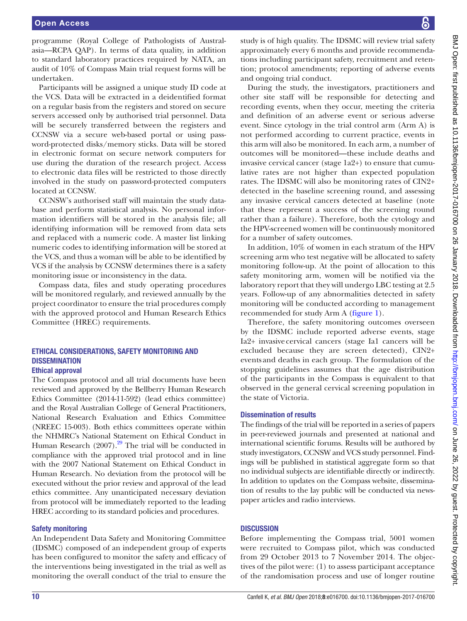programme (Royal College of Pathologists of Australasia—RCPA QAP). In terms of data quality, in addition to standard laboratory practices required by NATA, an audit of 10% of Compass Main trial request forms will be undertaken.

Participants will be assigned a unique study ID code at the VCS. Data will be extracted in a deidentified format on a regular basis from the registers and stored on secure servers accessed only by authorised trial personnel. Data will be securely transferred between the registers and CCNSW via a secure web-based portal or using password-protected disks/memory sticks. Data will be stored in electronic format on secure network computers for use during the duration of the research project. Access to electronic data files will be restricted to those directly involved in the study on password-protected computers located at CCNSW.

CCNSW's authorised staff will maintain the study database and perform statistical analysis. No personal information identifiers will be stored in the analysis file; all identifying information will be removed from data sets and replaced with a numeric code. A master list linking numeric codes to identifying information will be stored at the VCS, and thus a woman will be able to be identified by VCS if the analysis by CCNSW determines there is a safety monitoring issue or inconsistency in the data.

Compass data, files and study operating procedures will be monitored regularly, and reviewed annually by the project coordinator to ensure the trial procedures comply with the approved protocol and Human Research Ethics Committee (HREC) requirements.

#### Ethical considerations, safety monitoring and **DISSEMINATION** Ethical approval

The Compass protocol and all trial documents have been reviewed and approved by the Bellberry Human Research Ethics Committee (2014-11-592) (lead ethics committee) and the Royal Australian College of General Practitioners, National Research Evaluation and Ethics Committee (NREEC 15-003). Both ethics committees operate within the NHMRC's National Statement on Ethical Conduct in Human Research  $(2007)$ .<sup>29</sup> The trial will be conducted in compliance with the approved trial protocol and in line with the 2007 National Statement on Ethical Conduct in Human Research. No deviation from the protocol will be executed without the prior review and approval of the lead ethics committee. Any unanticipated necessary deviation from protocol will be immediately reported to the leading HREC according to its standard policies and procedures.

#### Safety monitoring

An Independent Data Safety and Monitoring Committee (IDSMC) composed of an independent group of experts has been configured to monitor the safety and efficacy of the interventions being investigated in the trial as well as monitoring the overall conduct of the trial to ensure the

study is of high quality. The IDSMC will review trial safety approximately every 6 months and provide recommendations including participant safety, recruitment and retention; protocol amendments; reporting of adverse events and ongoing trial conduct.

During the study, the investigators, practitioners and other site staff will be responsible for detecting and recording events, when they occur, meeting the criteria and definition of an adverse event or serious adverse event. Since cytology in the trial control arm (Arm A) is not performed according to current practice, events in this arm will also be monitored. In each arm, a number of outcomes will be monitored—these include deaths and invasive cervical cancer (stage 1a2+) to ensure that cumulative rates are not higher than expected population rates. The IDSMC will also be monitoring rates of CIN2+ detected in the baseline screening round, and assessing any invasive cervical cancers detected at baseline (note that these represent a success of the screening round rather than a failure). Therefore, both the cytology and the HPV-screened women will be continuously monitored for a number of safety outcomes.

In addition, 10% of women in each stratum of the HPV screening arm who test negative will be allocated to safety monitoring follow-up. At the point of allocation to this safety monitoring arm, women will be notified via the laboratory report that they will undergo LBC testing at 2.5 years. Follow-up of any abnormalities detected in safety monitoring will be conducted according to management recommended for study Arm A [\(figure](#page-3-0) 1).

Therefore, the safety monitoring outcomes overseen by the IDSMC include reported adverse events, stage Ia2+ invasivecervical cancers (stage Ia1 cancers will be excluded because they are screen detected), CIN2+ events and deaths in each group. The formulation of the stopping guidelines assumes that the age distribution of the participants in the Compass is equivalent to that observed in the general cervical screening population in the state of Victoria.

# Dissemination of results

The findings of the trial will be reported in a series of papers in peer-reviewed journals and presented at national and international scientific forums. Results will be authored by study investigators, CCNSW and VCS study personnel. Findings will be published in statistical aggregate form so that no individual subjects are identifiable directly or indirectly. In addition to updates on the Compass website, dissemination of results to the lay public will be conducted via newspaper articles and radio interviews.

# **DISCUSSION**

Before implementing the Compass trial, 5001 women were recruited to Compass pilot, which was conducted from 29 October 2013 to 7 November 2014. The objectives of the pilot were: (1) to assess participant acceptance of the randomisation process and use of longer routine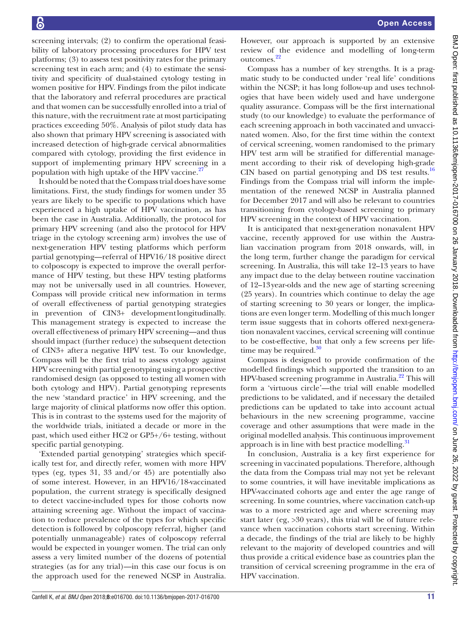screening intervals; (2) to confirm the operational feasibility of laboratory processing procedures for HPV test platforms; (3) to assess test positivity rates for the primary screening test in each arm; and (4) to estimate the sensitivity and specificity of dual-stained cytology testing in women positive for HPV. Findings from the pilot indicate that the laboratory and referral procedures are practical and that women can be successfully enrolled into a trial of this nature, with the recruitment rate at most participating practices exceeding 50%. Analysis of pilot study data has also shown that primary HPV screening is associated with increased detection of high-grade cervical abnormalities compared with cytology, providing the first evidence in support of implementing primary HPV screening in a population with high uptake of the HPV vaccine. $^{27}$ 

It should be noted that the Compass trial does have some limitations. First, the study findings for women under 35 years are likely to be specific to populations which have experienced a high uptake of HPV vaccination, as has been the case in Australia. Additionally, the protocol for primary HPV screening (and also the protocol for HPV triage in the cytology screening arm) involves the use of next-generation HPV testing platforms which perform partial genotyping—referral of HPV16/18 positive direct to colposcopy is expected to improve the overall performance of HPV testing, but these HPV testing platforms may not be universally used in all countries. However, Compass will provide critical new information in terms of overall effectiveness of partial genotyping strategies in prevention of CIN3+ developmentlongitudinally. This management strategy is expected to increase the overall effectiveness of primary HPV screening—and thus should impact (further reduce) the subsequent detection of CIN3+ after a negative HPV test. To our knowledge, Compass will be the first trial to assess cytology against HPV screening with partial genotyping using a prospective randomised design (as opposed to testing all women with both cytology and HPV). Partial genotyping represents the new 'standard practice' in HPV screening, and the large majority of clinical platforms now offer this option. This is in contrast to the systems used for the majority of the worldwide trials, initiated a decade or more in the past, which used either HC2 or GP5+/6+ testing, without specific partial genotyping.

'Extended partial genotyping' strategies which specifically test for, and directly refer, women with more HPV types (eg, types 31, 33 and/or 45) are potentially also of some interest. However, in an HPV16/18-vaccinated population, the current strategy is specifically designed to detect vaccine-included types for those cohorts now attaining screening age. Without the impact of vaccination to reduce prevalence of the types for which specific detection is followed by colposcopy referral, higher (and potentially unmanageable) rates of colposcopy referral would be expected in younger women. The trial can only assess a very limited number of the dozens of potential strategies (as for any trial)—in this case our focus is on the approach used for the renewed NCSP in Australia.

However, our approach is supported by an extensive review of the evidence and modelling of long-term outcomes[.22](#page-12-7)

Compass has a number of key strengths. It is a pragmatic study to be conducted under 'real life' conditions within the NCSP; it has long follow-up and uses technologies that have been widely used and have undergone quality assurance. Compass will be the first international study (to our knowledge) to evaluate the performance of each screening approach in both vaccinated and unvaccinated women. Also, for the first time within the context of cervical screening, women randomised to the primary HPV test arm will be stratified for differential management according to their risk of developing high-grade CIN based on partial genotyping and DS test results.[16](#page-11-9) Findings from the Compass trial will inform the implementation of the renewed NCSP in Australia planned for December 2017 and will also be relevant to countries transitioning from cytology-based screening to primary HPV screening in the context of HPV vaccination.

It is anticipated that next-generation nonavalent HPV vaccine, recently approved for use within the Australian vaccination program from 2018 onwards, will, in the long term, further change the paradigm for cervical screening. In Australia, this will take 12–13 years to have any impact due to the delay between routine vaccination of 12–13year-olds and the new age of starting screening (25 years). In countries which continue to delay the age of starting screening to 30 years or longer, the implications are even longer term. Modelling of this much longer term issue suggests that in cohorts offered next-generation nonavalent vaccines, cervical screening will continue to be cost-effective, but that only a few screens per lifetime may be required. $30$ 

Compass is designed to provide confirmation of the modelled findings which supported the transition to an HPV-based screening programme in Australia.<sup>[22](#page-12-7)</sup> This will form a 'virtuous circle'—the trial will enable modelled predictions to be validated, and if necessary the detailed predictions can be updated to take into account actual behaviours in the new screening programme, vaccine coverage and other assumptions that were made in the original modelled analysis. This continuous improvement approach is in line with best practice modelling. $31$ 

In conclusion, Australia is a key first experience for screening in vaccinated populations. Therefore, although the data from the Compass trial may not yet be relevant to some countries, it will have inevitable implications as HPV-vaccinated cohorts age and enter the age range of screening. In some countries, where vaccination catch-up was to a more restricted age and where screening may start later (eg, >30 years), this trial will be of future relevance when vaccination cohorts start screening. Within a decade, the findings of the trial are likely to be highly relevant to the majority of developed countries and will thus provide a critical evidence base as countries plan the transition of cervical screening programme in the era of HPV vaccination.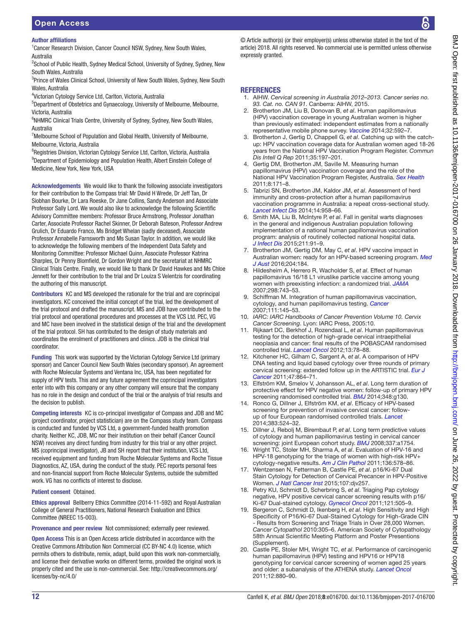Author affiliations

<sup>1</sup> Cancer Research Division, Cancer Council NSW, Sydney, New South Wales, Australia

<sup>2</sup>School of Public Health, Sydney Medical School, University of Sydney, Sydney, New South Wales, Australia

<sup>3</sup>Prince of Wales Clinical School, University of New South Wales, Sydney, New South Wales, Australia

4 Victorian Cytology Service Ltd, Carlton, Victoria, Australia

5 Department of Obstetrics and Gynaecology, University of Melbourne, Melbourne, Victoria, Australia

<sup>6</sup>NHMRC Clinical Trials Centre, University of Sydney, Sydney, New South Wales, Australia

<sup>7</sup>Melbourne School of Population and Global Health, University of Melbourne, Melbourne, Victoria, Australia

<sup>8</sup>Registries Division, Victorian Cytology Service Ltd, Carlton, Victoria, Australia <sup>9</sup>Department of Epidemiology and Population Health, Albert Einstein College of Medicine, New York, New York, USA

Acknowledgements We would like to thank the following associate investigators for their contribution to the Compass trial: Mr David H Wrede, Dr Jeff Tan, Dr Siobhan Bourke, Dr Lara Roeske, Dr Jane Collins, Sandy Anderson and Associate Professor Sally Lord. We would also like to acknowledge the following Scientific Advisory Committee members: Professor Bruce Armstrong, Professor Jonathan Carter, Associate Professor Rachel Skinner, Dr Deborah Bateson, Professor Andrew Grulich, Dr Eduardo Franco, Ms Bridget Whelan (sadly deceased), Associate Professor Annabelle Farnsworth and Ms Susan Taylor. In addition, we would like to acknowledge the following members of the Independent Data Safety and Monitoring Committee: Professor Michael Quinn, Associate Professor Katrina Sharples, Dr Penny Blomfield, Dr Gordon Wright and the secretariat at NHMRC Clinical Trials Centre. Finally, we would like to thank Dr David Hawkes and Ms Chloe Jennett for their contribution to the trial and Dr Louiza S Velentzis for coordinating the authoring of this manuscript.

Contributors KC and MS developed the rationale for the trial and are coprincipal investigators. KC conceived the initial concept of the trial, led the development of the trial protocol and drafted the manuscript. MS and JDB have contributed to the trial protocol and operational procedures and processes at the VCS Ltd. PEC, VG and MC have been involved in the statistical design of the trial and the development of the trial protocol. SH has contributed to the design of study materials and coordinates the enrolment of practitioners and clinics. JDB is the clinical trial coordinator.

Funding This work was supported by the Victorian Cytology Service Ltd (primary sponsor) and Cancer Council New South Wales (secondary sponsor). An agreement with Roche Molecular Systems and Ventana Inc, USA, has been negotiated for supply of HPV tests. This and any future agreement the coprincipal investigators enter into with this company or any other company will ensure that the company has no role in the design and conduct of the trial or the analysis of trial results and the decision to publish.

Competing interests KC is co-principal investigator of Compass and JDB and MC (project coordinator, project statistician) are on the Compass study team. Compass is conducted and funded by VCS Ltd, a government-funded health promotion charity. Neither KC, JDB, MC nor their institution on their behalf (Cancer Council NSW) receives any direct funding from industry for this trial or any other project. MS (coprincipal investigator), JB and SH report that their institution, VCS Ltd, received equipment and funding from Roche Molecular Systems and Roche Tissue Diagnostics, AZ, USA, during the conduct of the study. PEC reports personal fees and non-financial support from Roche Molecular Systems, outside the submitted work. VG has no conflicts of interest to disclose.

#### Patient consent Obtained.

Ethics approval Bellberry Ethics Committee (2014-11-592) and Royal Australian College of General Practitioners, National Research Evaluation and Ethics Committee (NREEC 15-003).

Provenance and peer review Not commissioned; externally peer reviewed.

Open Access This is an Open Access article distributed in accordance with the Creative Commons Attribution Non Commercial (CC BY-NC 4.0) license, which permits others to distribute, remix, adapt, build upon this work non-commercially, and license their derivative works on different terms, provided the original work is properly cited and the use is non-commercial. See: [http://creativecommons.org/](http://creativecommons.org/licenses/by-nc/4.0/) [licenses/by-nc/4.0/](http://creativecommons.org/licenses/by-nc/4.0/)

© Article author(s) (or their employer(s) unless otherwise stated in the text of the article) 2018. All rights reserved. No commercial use is permitted unless otherwise expressly granted.

#### **REFERENCES**

- <span id="page-11-0"></span>1. AIHW. *Cervical screening in Australia 2012–2013. Cancer series no. 93. Cat. no. CAN 91*. Canberra: AIHW, 2015.
- <span id="page-11-1"></span>2. Brotherton JM, Liu B, Donovan B, *et al*. Human papillomavirus (HPV) vaccination coverage in young Australian women is higher than previously estimated: independent estimates from a nationally representative mobile phone survey. *[Vaccine](http://dx.doi.org/10.1016/j.vaccine.2013.11.075)* 2014;32:592–7.
- <span id="page-11-12"></span>3. Brotherton J, Gertig D, Chappell G, *et al*. Catching up with the catchup: HPV vaccination coverage data for Australian women aged 18-26 years from the National HPV Vaccination Program Register. *Commun Dis Intell Q Rep* 2011;35:197–201.
- <span id="page-11-13"></span>4. Gertig DM, Brotherton JM, Saville M. Measuring human papillomavirus (HPV) vaccination coverage and the role of the National HPV Vaccination Program Register, Australia. *[Sex Health](http://dx.doi.org/10.1071/SH10001)* 2011;8:171–8.
- <span id="page-11-2"></span>5. Tabrizi SN, Brotherton JM, Kaldor JM, *et al*. Assessment of herd immunity and cross-protection after a human papillomavirus vaccination programme in Australia: a repeat cross-sectional study. *[Lancet Infect Dis](http://dx.doi.org/10.1016/S1473-3099(14)70841-2)* 2014;14:958–66.
- <span id="page-11-14"></span>6. Smith MA, Liu B, McIntyre P, *et al*. Fall in genital warts diagnoses in the general and indigenous Australian population following implementation of a national human papillomavirus vaccination program: analysis of routinely collected national hospital data. *[J Infect Dis](http://dx.doi.org/10.1093/infdis/jiu370)* 2015;211:91–9.
- 7. Brotherton JM, Gertig DM, May C, *et al*. HPV vaccine impact in Australian women: ready for an HPV-based screening program. *[Med](http://dx.doi.org/10.5694/mja15.01038)  [J Aust](http://dx.doi.org/10.5694/mja15.01038)* 2016;204:184.
- <span id="page-11-3"></span>8. Hildesheim A, Herrero R, Wacholder S, *et al*. Effect of human papillomavirus 16/18 L1 viruslike particle vaccine among young women with preexisting infection: a randomized trial. *[JAMA](http://dx.doi.org/10.1001/jama.298.7.743)* 2007;298:743–53.
- <span id="page-11-4"></span>9. Schiffman M. Integration of human papillomavirus vaccination, cytology, and human papillomavirus testing. *[Cancer](http://dx.doi.org/10.1002/cncr.22751)* 2007;111:145–53.
- <span id="page-11-5"></span>10. *IARC: IARC Handbooks of Cancer Prevention Volume 10. Cervix Cancer Screening*. Lyon: IARC Press, 2005:10.
- <span id="page-11-6"></span>11. Rijkaart DC, Berkhof J, Rozendaal L, *et al*. Human papillomavirus testing for the detection of high-grade cervical intraepithelial neoplasia and cancer: final results of the POBASCAM randomised controlled trial. *[Lancet Oncol](http://dx.doi.org/10.1016/S1470-2045(11)70296-0)* 2012;13:78–88.
- 12. Kitchener HC, Gilham C, Sargent A, *et al*. A comparison of HPV DNA testing and liquid based cytology over three rounds of primary cervical screening: extended follow up in the ARTISTIC trial. *[Eur J](http://dx.doi.org/10.1016/j.ejca.2011.01.008)  [Cancer](http://dx.doi.org/10.1016/j.ejca.2011.01.008)* 2011;47:864–71.
- 13. Elfström KM, Smelov V, Johansson AL, *et al*. Long term duration of protective effect for HPV negative women: follow-up of primary HPV screening randomised controlled trial. *[BMJ](http://dx.doi.org/10.1136/bmj.g130)* 2014;348:g130.
- <span id="page-11-7"></span>14. Ronco G, Dillner J, Elfström KM, *et al*. Efficacy of HPV-based screening for prevention of invasive cervical cancer: followup of four European randomised controlled trials. *[Lancet](http://dx.doi.org/10.1016/S0140-6736(13)62218-7)* 2014;383:524–32.
- <span id="page-11-8"></span>15. Dillner J, Rebolj M, Birembaut P, *et al*. Long term predictive values of cytology and human papillomavirus testing in cervical cancer screening: joint European cohort study. *[BMJ](http://dx.doi.org/10.1136/bmj.a1754)* 2008;337:a1754.
- <span id="page-11-9"></span>16. Wright TC, Stoler MH, Sharma A, *et al*. Evaluation of HPV-16 and HPV-18 genotyping for the triage of women with high-risk HPV+ cytology-negative results. *[Am J Clin Pathol](http://dx.doi.org/10.1309/AJCPTUS5EXAS6DKZ)* 2011;136:578–86.
- <span id="page-11-10"></span>17. Wentzensen N, Fetterman B, Castle PE, *et al*. p16/Ki-67 Dual Stain Cytology for Detection of Cervical Precancer in HPV-Positive Women. *[J Natl Cancer Inst](http://dx.doi.org/10.1093/jnci/djv257)* 2015;107:djv257.
- 18. Petry KU, Schmidt D, Scherbring S, *et al*. Triaging Pap cytology negative, HPV positive cervical cancer screening results with p16/ Ki-67 Dual-stained cytology. *[Gynecol Oncol](http://dx.doi.org/10.1016/j.ygyno.2011.02.033)* 2011;121:505–9.
- 19. Bergeron C, Schmidt D, Ikenberg H, *et al*. High Sensitivity and High Specificity of P16/Ki-67 Dual-Stained Cytology for High-Grade CIN - Results from Screening and Triage Trials in Over 28,000 Women. *Cancer Cytopathol* 2010:305–6. American Society of Cytopathology 58th Annual Scientific Meeting Platform and Poster Presentions (Supplement).
- <span id="page-11-11"></span>20. Castle PE, Stoler MH, Wright TC, *et al*. Performance of carcinogenic human papillomavirus (HPV) testing and HPV16 or HPV18 genotyping for cervical cancer screening of women aged 25 years and older: a subanalysis of the ATHENA study. *[Lancet Oncol](http://dx.doi.org/10.1016/S1470-2045(11)70188-7)* 2011;12:880–90.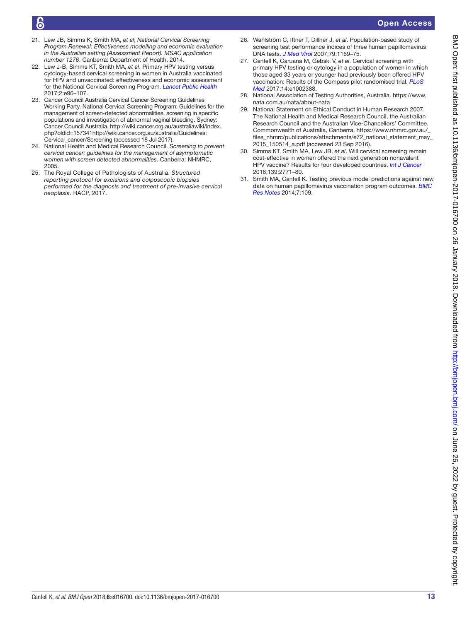- <span id="page-12-0"></span>21. Lew JB, Simms K, Smith MA, *et al*; *National Cervical Screening Program Renewal: Effectiveness modelling and economic evaluation in the Australian setting (Assessment Report). MSAC application number 1276*. Canberra: Department of Health, 2014.
- <span id="page-12-7"></span>22. Lew J-B, Simms KT, Smith MA, *et al*. Primary HPV testing versus cytology-based cervical screening in women in Australia vaccinated for HPV and unvaccinated: effectiveness and economic assessment for the National Cervical Screening Program. *[Lancet Public Health](http://dx.doi.org/10.1016/S2468-2667(17)30007-5)* 2017;2:e96–107.
- <span id="page-12-1"></span>23. Cancer Council Australia Cervical Cancer Screening Guidelines Working Party. National Cervical Screening Program: Guidelines for the management of screen-detected abnormalities, screening in specific populations and investigation of abnormal vaginal bleeding. Sydney: Cancer Council Australia. [http://wiki.cancer.org.au/australiawiki/index.](http://wiki.cancer.org.au/australiawiki/index.php?oldid=157341) [php?oldid=157341](http://wiki.cancer.org.au/australiawiki/index.php?oldid=157341)[http://wiki.cancer.org.au/australia/Guidelines:](http://wiki.cancer.org.au/australia/Guidelines:Cervical_cancer/Screening) [Cervical\\_cancer/Screening](http://wiki.cancer.org.au/australia/Guidelines:Cervical_cancer/Screening) (accessed 18 Jul 2017).
- 24. National Health and Medical Research Council. *Screening to prevent cervical cancer: guidelines for the management of asymptomatic women with screen detected abnormalities*. Canberra: NHMRC, 2005.
- <span id="page-12-2"></span>25. The Royal College of Pathologists of Australia. *Structured reporting protocol for excisions and colposcopic biopsies performed for the diagnosis and treatment of pre-invasive cervical neoplasia*. RACP, 2017.
- <span id="page-12-3"></span>26. Wahlström C, Iftner T, Dillner J, *et al*. Population-based study of screening test performance indices of three human papillomavirus DNA tests. *[J Med Virol](http://dx.doi.org/10.1002/jmv.20898)* 2007;79:1169–75.
- <span id="page-12-4"></span>27. Canfell K, Caruana M, Gebski V, *et al*. Cervical screening with primary HPV testing or cytology in a population of women in which those aged 33 years or younger had previously been offered HPV vaccination: Results of the Compass pilot randomised trial. *[PLoS](http://dx.doi.org/10.1371/journal.pmed.1002388)  [Med](http://dx.doi.org/10.1371/journal.pmed.1002388)* 2017;14:e1002388.
- <span id="page-12-5"></span>28. National Association of Testing Authorities, Australia. [https://www.](https://www.nata.com.au/nata/about-nata) [nata.com.au/nata/about-nata](https://www.nata.com.au/nata/about-nata)
- <span id="page-12-6"></span>29. National Statement on Ethical Conduct in Human Research 2007. The National Health and Medical Research Council, the Australian Research Council and the Australian Vice-Chancellors' Committee. Commonwealth of Australia, Canberra. [https://www.nhmrc.gov.au/\\_](https://www.nhmrc.gov.au/_files_nhmrc/publications/attachments/e72_national_statement_may_2015_150514_a.pdf) [files\\_nhmrc/publications/attachments/e72\\_national\\_statement\\_may\\_](https://www.nhmrc.gov.au/_files_nhmrc/publications/attachments/e72_national_statement_may_2015_150514_a.pdf) [2015\\_150514\\_a.pdf](https://www.nhmrc.gov.au/_files_nhmrc/publications/attachments/e72_national_statement_may_2015_150514_a.pdf) (accessed 23 Sep 2016).
- <span id="page-12-8"></span>Simms KT, Smith MA, Lew JB, *et al.* Will cervical screening remain cost-effective in women offered the next generation nonavalent HPV vaccine? Results for four developed countries. *[Int J Cancer](http://dx.doi.org/10.1002/ijc.30392)* 2016;139:2771–80.
- <span id="page-12-9"></span>31. Smith MA, Canfell K. Testing previous model predictions against new data on human papillomavirus vaccination program outcomes. *[BMC](http://dx.doi.org/10.1186/1756-0500-7-109)  [Res Notes](http://dx.doi.org/10.1186/1756-0500-7-109)* 2014;7:109.